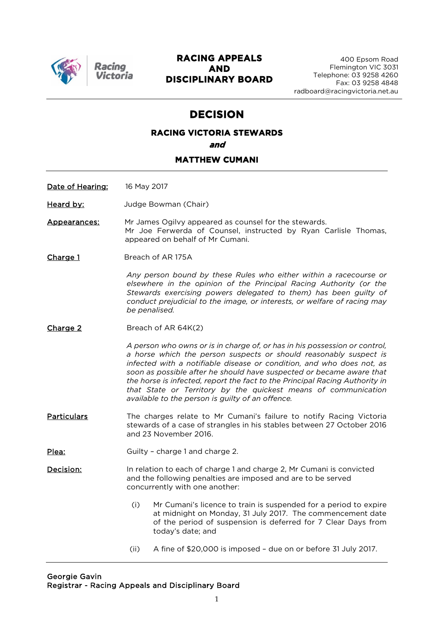

#### **RACING APPEALS AND DISCIPLINARY BOARD**

# **DECISION**

# **RACING VICTORIA STEWARDS and**

#### **MATTHEW CUMANI**

Date of Hearing: 16 May 2017

Heard by: Judge Bowman (Chair)

Appearances: Mr James Ogilvy appeared as counsel for the stewards. Mr Joe Ferwerda of Counsel, instructed by Ryan Carlisle Thomas, appeared on behalf of Mr Cumani.

Charge 1 Breach of AR 175A

*Any person bound by these Rules who either within a racecourse or elsewhere in the opinion of the Principal Racing Authority (or the Stewards exercising powers delegated to them) has been guilty of conduct prejudicial to the image, or interests, or welfare of racing may be penalised.*

Charge 2 Breach of AR 64K(2)

*A person who owns or is in charge of, or has in his possession or control, a horse which the person suspects or should reasonably suspect is infected with a notifiable disease or condition, and who does not, as soon as possible after he should have suspected or became aware that the horse is infected, report the fact to the Principal Racing Authority in that State or Territory by the quickest means of communication available to the person is guilty of an offence.*

Particulars The charges relate to Mr Cumani's failure to notify Racing Victoria stewards of a case of strangles in his stables between 27 October 2016 and 23 November 2016.

Plea: Guilty - charge 1 and charge 2.

**Decision:** In relation to each of charge 1 and charge 2, Mr Cumani is convicted and the following penalties are imposed and are to be served concurrently with one another:

- (i) Mr Cumani's licence to train is suspended for a period to expire at midnight on Monday, 31 July 2017. The commencement date of the period of suspension is deferred for 7 Clear Days from today's date; and
- (ii) A fine of \$20,000 is imposed due on or before 31 July 2017.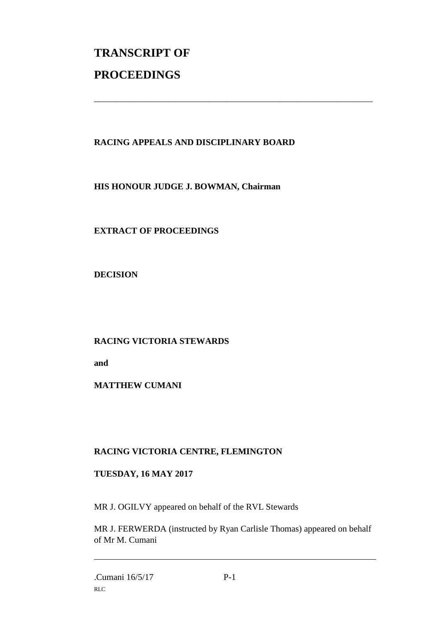# **TRANSCRIPT OF PROCEEDINGS**

# **RACING APPEALS AND DISCIPLINARY BOARD**

\_\_\_\_\_\_\_\_\_\_\_\_\_\_\_\_\_\_\_\_\_\_\_\_\_\_\_\_\_\_\_\_\_\_\_\_\_\_\_\_\_\_\_\_\_\_\_\_\_\_\_\_\_\_\_\_\_\_\_\_\_\_\_

**HIS HONOUR JUDGE J. BOWMAN, Chairman**

**EXTRACT OF PROCEEDINGS**

**DECISION**

## **RACING VICTORIA STEWARDS**

**and** 

## **MATTHEW CUMANI**

# **RACING VICTORIA CENTRE, FLEMINGTON**

## **TUESDAY, 16 MAY 2017**

MR J. OGILVY appeared on behalf of the RVL Stewards

MR J. FERWERDA (instructed by Ryan Carlisle Thomas) appeared on behalf of Mr M. Cumani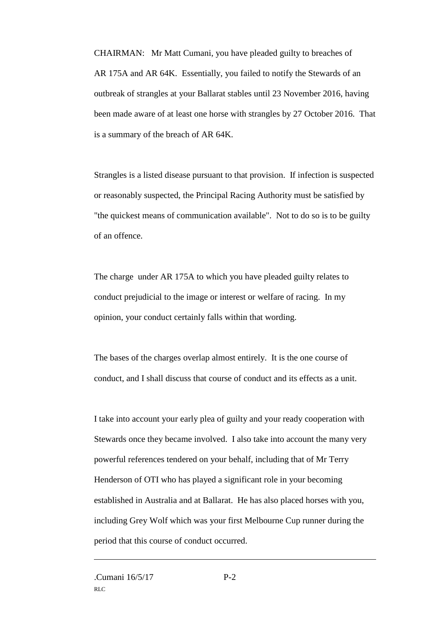CHAIRMAN: Mr Matt Cumani, you have pleaded guilty to breaches of AR 175A and AR 64K. Essentially, you failed to notify the Stewards of an outbreak of strangles at your Ballarat stables until 23 November 2016, having been made aware of at least one horse with strangles by 27 October 2016. That is a summary of the breach of AR 64K.

Strangles is a listed disease pursuant to that provision. If infection is suspected or reasonably suspected, the Principal Racing Authority must be satisfied by "the quickest means of communication available". Not to do so is to be guilty of an offence.

The charge under AR 175A to which you have pleaded guilty relates to conduct prejudicial to the image or interest or welfare of racing. In my opinion, your conduct certainly falls within that wording.

The bases of the charges overlap almost entirely. It is the one course of conduct, and I shall discuss that course of conduct and its effects as a unit.

I take into account your early plea of guilty and your ready cooperation with Stewards once they became involved. I also take into account the many very powerful references tendered on your behalf, including that of Mr Terry Henderson of OTI who has played a significant role in your becoming established in Australia and at Ballarat. He has also placed horses with you, including Grey Wolf which was your first Melbourne Cup runner during the period that this course of conduct occurred.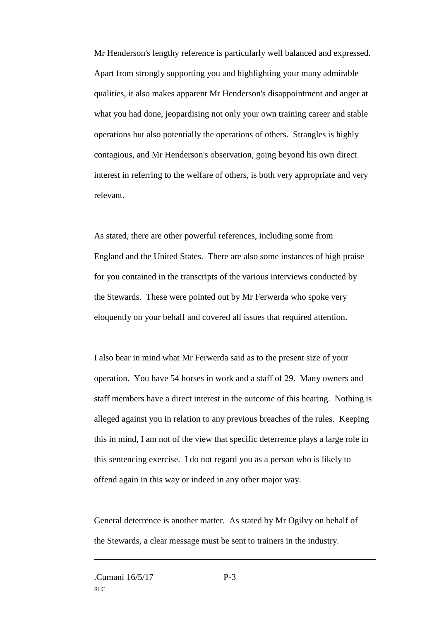Mr Henderson's lengthy reference is particularly well balanced and expressed. Apart from strongly supporting you and highlighting your many admirable qualities, it also makes apparent Mr Henderson's disappointment and anger at what you had done, jeopardising not only your own training career and stable operations but also potentially the operations of others. Strangles is highly contagious, and Mr Henderson's observation, going beyond his own direct interest in referring to the welfare of others, is both very appropriate and very relevant.

As stated, there are other powerful references, including some from England and the United States. There are also some instances of high praise for you contained in the transcripts of the various interviews conducted by the Stewards. These were pointed out by Mr Ferwerda who spoke very eloquently on your behalf and covered all issues that required attention.

I also bear in mind what Mr Ferwerda said as to the present size of your operation. You have 54 horses in work and a staff of 29. Many owners and staff members have a direct interest in the outcome of this hearing. Nothing is alleged against you in relation to any previous breaches of the rules. Keeping this in mind, I am not of the view that specific deterrence plays a large role in this sentencing exercise. I do not regard you as a person who is likely to offend again in this way or indeed in any other major way.

General deterrence is another matter. As stated by Mr Ogilvy on behalf of the Stewards, a clear message must be sent to trainers in the industry.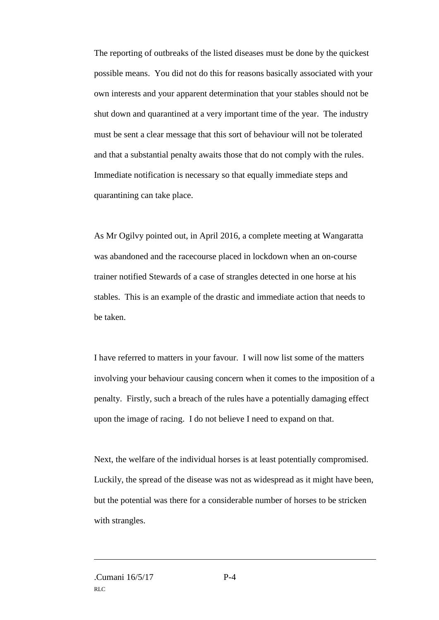The reporting of outbreaks of the listed diseases must be done by the quickest possible means. You did not do this for reasons basically associated with your own interests and your apparent determination that your stables should not be shut down and quarantined at a very important time of the year. The industry must be sent a clear message that this sort of behaviour will not be tolerated and that a substantial penalty awaits those that do not comply with the rules. Immediate notification is necessary so that equally immediate steps and quarantining can take place.

As Mr Ogilvy pointed out, in April 2016, a complete meeting at Wangaratta was abandoned and the racecourse placed in lockdown when an on-course trainer notified Stewards of a case of strangles detected in one horse at his stables. This is an example of the drastic and immediate action that needs to be taken.

I have referred to matters in your favour. I will now list some of the matters involving your behaviour causing concern when it comes to the imposition of a penalty. Firstly, such a breach of the rules have a potentially damaging effect upon the image of racing. I do not believe I need to expand on that.

Next, the welfare of the individual horses is at least potentially compromised. Luckily, the spread of the disease was not as widespread as it might have been, but the potential was there for a considerable number of horses to be stricken with strangles.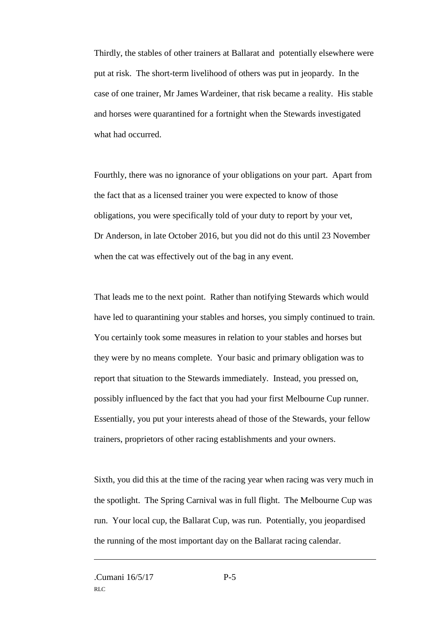Thirdly, the stables of other trainers at Ballarat and potentially elsewhere were put at risk. The short-term livelihood of others was put in jeopardy. In the case of one trainer, Mr James Wardeiner, that risk became a reality. His stable and horses were quarantined for a fortnight when the Stewards investigated what had occurred.

Fourthly, there was no ignorance of your obligations on your part. Apart from the fact that as a licensed trainer you were expected to know of those obligations, you were specifically told of your duty to report by your vet, Dr Anderson, in late October 2016, but you did not do this until 23 November when the cat was effectively out of the bag in any event.

That leads me to the next point. Rather than notifying Stewards which would have led to quarantining your stables and horses, you simply continued to train. You certainly took some measures in relation to your stables and horses but they were by no means complete. Your basic and primary obligation was to report that situation to the Stewards immediately. Instead, you pressed on, possibly influenced by the fact that you had your first Melbourne Cup runner. Essentially, you put your interests ahead of those of the Stewards, your fellow trainers, proprietors of other racing establishments and your owners.

Sixth, you did this at the time of the racing year when racing was very much in the spotlight. The Spring Carnival was in full flight. The Melbourne Cup was run. Your local cup, the Ballarat Cup, was run. Potentially, you jeopardised the running of the most important day on the Ballarat racing calendar.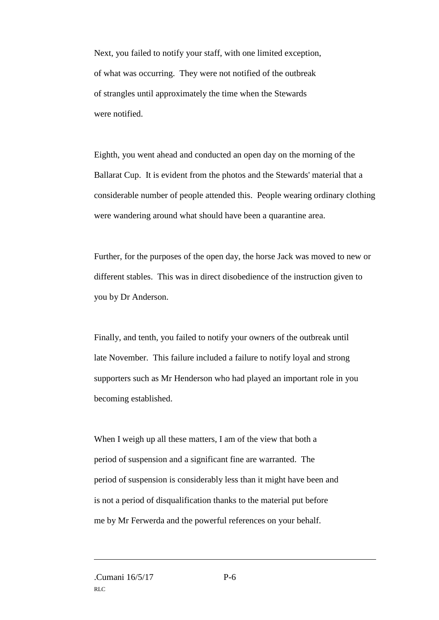Next, you failed to notify your staff, with one limited exception, of what was occurring. They were not notified of the outbreak of strangles until approximately the time when the Stewards were notified.

Eighth, you went ahead and conducted an open day on the morning of the Ballarat Cup. It is evident from the photos and the Stewards' material that a considerable number of people attended this. People wearing ordinary clothing were wandering around what should have been a quarantine area.

Further, for the purposes of the open day, the horse Jack was moved to new or different stables. This was in direct disobedience of the instruction given to you by Dr Anderson.

Finally, and tenth, you failed to notify your owners of the outbreak until late November. This failure included a failure to notify loyal and strong supporters such as Mr Henderson who had played an important role in you becoming established.

When I weigh up all these matters, I am of the view that both a period of suspension and a significant fine are warranted. The period of suspension is considerably less than it might have been and is not a period of disqualification thanks to the material put before me by Mr Ferwerda and the powerful references on your behalf.